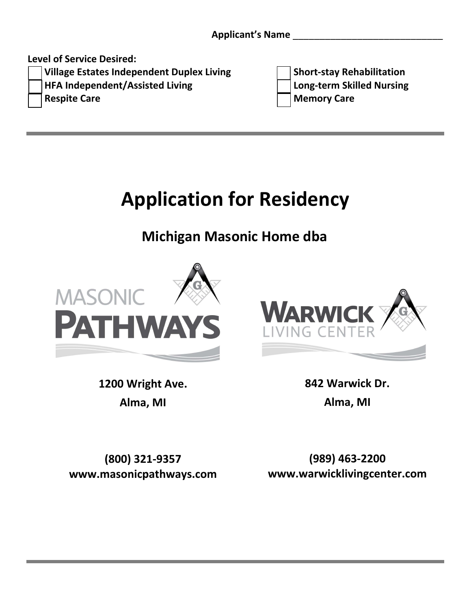**Level of Service Desired:**

**[ ] HFA Independent/Assisted Living [ ] Long‐term Skilled Nursing**

**[ ] Village Estates Independent Duplex Living [ ] Short‐stay Rehabilitation [ ] Respite Care [ ] Memory Care**

## **Application for Residency**

**Michigan Masonic Home dba**



**WARWIC** 

**1200 Wright Ave. Alma, MI**

**842 Warwick Dr. Alma, MI**

**(800) 321‐9357 www.masonicpathways.com**

**(989) 463-2200 www.warwicklivingcenter.com**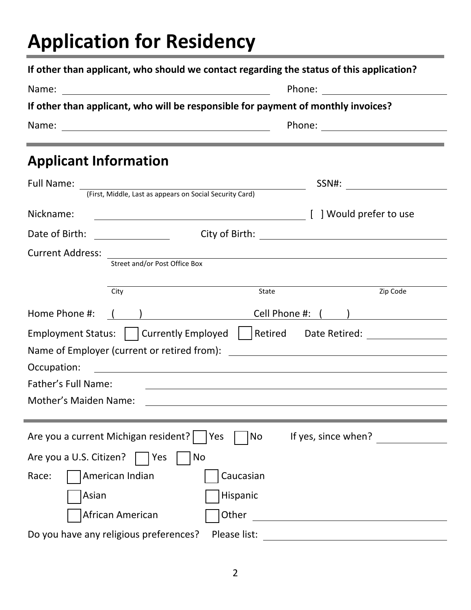# **Application for Residency**

|                                        | If other than applicant, who will be responsible for payment of monthly invoices?                                                                                                                                                    |
|----------------------------------------|--------------------------------------------------------------------------------------------------------------------------------------------------------------------------------------------------------------------------------------|
|                                        |                                                                                                                                                                                                                                      |
| <b>Applicant Information</b>           | <u> 1989 - Jan Samuel Barbara, marka a shekara ta 1989 - An tsara tsara tsara tsara tsara tsara tsara tsara tsar</u>                                                                                                                 |
|                                        |                                                                                                                                                                                                                                      |
|                                        |                                                                                                                                                                                                                                      |
| Nickname:                              |                                                                                                                                                                                                                                      |
| Date of Birth:                         |                                                                                                                                                                                                                                      |
| <b>Current Address:</b>                |                                                                                                                                                                                                                                      |
| Street and/or Post Office Box          | <u> 1980 - Andrea Andrew Maria (h. 1980).</u>                                                                                                                                                                                        |
|                                        |                                                                                                                                                                                                                                      |
| City                                   | Zip Code<br>State                                                                                                                                                                                                                    |
| Home Phone #: ( )                      |                                                                                                                                                                                                                                      |
|                                        | Employment Status:   Currently Employed   Retired Date Retired:                                                                                                                                                                      |
|                                        |                                                                                                                                                                                                                                      |
| Occupation:                            | <u> Alexandria de la contrada de la contrada de la contrada de la contrada de la contrada de la contrada de la c</u>                                                                                                                 |
| Father's Full Name:                    | <u>and the state of the state of the state of the state of the state of the state of the state of the state of the state of the state of the state of the state of the state of the state of the state of the state of the state</u> |
| Mother's Maiden Name:                  | and the control of the control of the control of the control of the control of the control of the control of the                                                                                                                     |
|                                        |                                                                                                                                                                                                                                      |
| Are you a current Michigan resident?   | If yes, since when?<br>Yes<br>No                                                                                                                                                                                                     |
| Are you a U.S. Citizen?<br>No<br>  Yes |                                                                                                                                                                                                                                      |
| American Indian<br>Race:               | Caucasian                                                                                                                                                                                                                            |
|                                        |                                                                                                                                                                                                                                      |
| Asian                                  | Hispanic                                                                                                                                                                                                                             |
| African American                       | Other<br><u> 1980 - Jan Samuel Barbara, politik eta politik eta politik eta politik eta politik eta politik eta politik e</u>                                                                                                        |
| Do you have any religious preferences? | Please list:                                                                                                                                                                                                                         |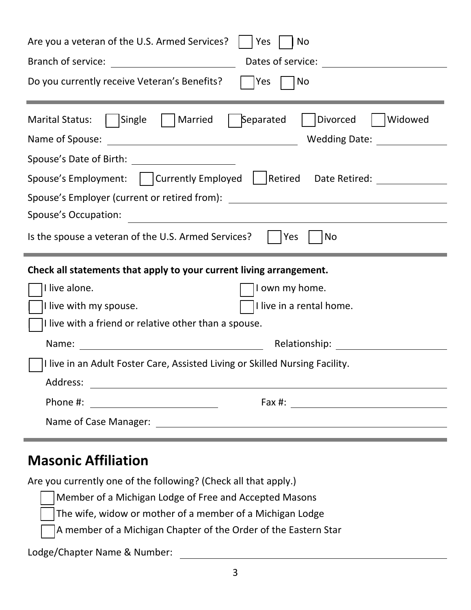| Are you a veteran of the U.S. Armed Services?<br>Yes<br>No                                                                                                                                                                            |  |  |  |
|---------------------------------------------------------------------------------------------------------------------------------------------------------------------------------------------------------------------------------------|--|--|--|
| Branch of service:<br>Dates of service: <u>_____________</u><br><u> 1980 - Johann Barbara, martin d</u>                                                                                                                               |  |  |  |
| Do you currently receive Veteran's Benefits?<br>Yes<br>  No                                                                                                                                                                           |  |  |  |
| Separated<br>Divorced<br>Single<br>Married<br>Widowed<br><b>Marital Status:</b><br>Name of Spouse:<br>Wedding Date: Wedding Date:<br><u> 2008 - Andrea Andrew Maria (h. 1878).</u><br>Spouse's Date of Birth: _______________________ |  |  |  |
| Spouse's Employment:   Currently Employed   Retired Date Retired:                                                                                                                                                                     |  |  |  |
| Spouse's Employer (current or retired from):<br><u> 1989 - Jan Samuel Barbara, margaret e</u>                                                                                                                                         |  |  |  |
| Spouse's Occupation:                                                                                                                                                                                                                  |  |  |  |
| Is the spouse a veteran of the U.S. Armed Services?<br><b>Yes</b><br>No                                                                                                                                                               |  |  |  |
| Check all statements that apply to your current living arrangement.                                                                                                                                                                   |  |  |  |
| I live alone.<br>I own my home.                                                                                                                                                                                                       |  |  |  |
| I live in a rental home.<br>I live with my spouse.                                                                                                                                                                                    |  |  |  |
| I live with a friend or relative other than a spouse.                                                                                                                                                                                 |  |  |  |
| Relationship:<br>Name:                                                                                                                                                                                                                |  |  |  |
| I live in an Adult Foster Care, Assisted Living or Skilled Nursing Facility.                                                                                                                                                          |  |  |  |
|                                                                                                                                                                                                                                       |  |  |  |
|                                                                                                                                                                                                                                       |  |  |  |
|                                                                                                                                                                                                                                       |  |  |  |

#### **Masonic Affiliation**

Are you currently one of the following? (Check all that apply.)

Member of a Michigan Lodge of Free and Accepted Masons

The wife, widow or mother of a member of a Michigan Lodge

A member of a Michigan Chapter of the Order of the Eastern Star

Lodge/Chapter Name & Number: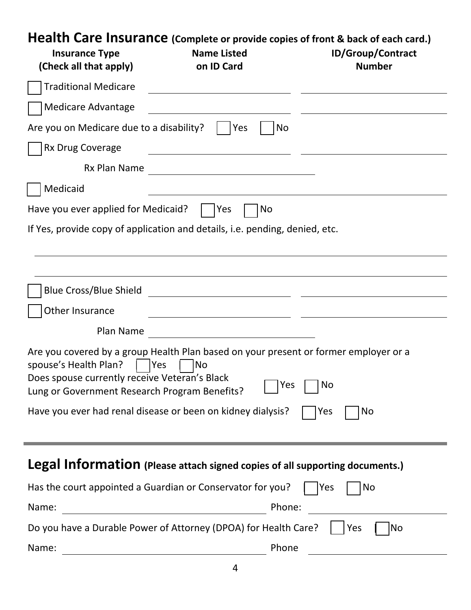## **Health Care Insurance (Complete or provide copies of front & back of each card.)**

| <b>Insurance Type</b><br>(Check all that apply)                                                                         | <b>Name Listed</b><br>on ID Card                                                                                       | <b>ID/Group/Contract</b><br><b>Number</b> |
|-------------------------------------------------------------------------------------------------------------------------|------------------------------------------------------------------------------------------------------------------------|-------------------------------------------|
| <b>Traditional Medicare</b>                                                                                             |                                                                                                                        |                                           |
| <b>Medicare Advantage</b>                                                                                               |                                                                                                                        |                                           |
| Are you on Medicare due to a disability?                                                                                | Yes<br>No                                                                                                              |                                           |
| Rx Drug Coverage                                                                                                        |                                                                                                                        |                                           |
| Rx Plan Name                                                                                                            | <u> Alexandria de la construcción de la construcción de la construcción de la construcción de la construcción de l</u> |                                           |
| Medicaid                                                                                                                |                                                                                                                        |                                           |
| Have you ever applied for Medicaid?                                                                                     | <b>Yes</b><br><b>No</b>                                                                                                |                                           |
|                                                                                                                         | If Yes, provide copy of application and details, <i>i.e.</i> pending, denied, etc.                                     |                                           |
|                                                                                                                         |                                                                                                                        |                                           |
|                                                                                                                         |                                                                                                                        |                                           |
| <b>Blue Cross/Blue Shield</b>                                                                                           |                                                                                                                        |                                           |
| Other Insurance                                                                                                         | <u> 1990 - Johann Barbara, martin a</u>                                                                                |                                           |
| Plan Name                                                                                                               | <u> 1980 - Johann Barbara, martxa eta politikar</u>                                                                    |                                           |
| spouse's Health Plan?<br>Does spouse currently receive Veteran's Black<br>Lung or Government Research Program Benefits? | Are you covered by a group Health Plan based on your present or former employer or a<br><b>Yes</b><br>No<br>Yes        | No                                        |
|                                                                                                                         | Have you ever had renal disease or been on kidney dialysis?                                                            | No<br>Yes                                 |
|                                                                                                                         | <b>Legal Information</b> (Please attach signed copies of all supporting documents.)                                    |                                           |
|                                                                                                                         | Has the court appointed a Guardian or Conservator for you?                                                             | Yes<br>No                                 |
| Name:                                                                                                                   | Phone:                                                                                                                 |                                           |
|                                                                                                                         | Do you have a Durable Power of Attorney (DPOA) for Health Care?                                                        | Yes<br> No                                |
| Name:                                                                                                                   | Phone                                                                                                                  |                                           |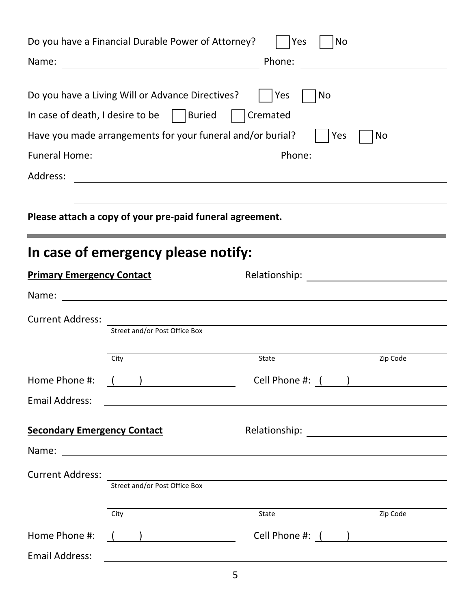|                                                                         | Do you have a Financial Durable Power of Attorney?                                                                                                                  | Yes<br>No                                                                                                              |                                                 |
|-------------------------------------------------------------------------|---------------------------------------------------------------------------------------------------------------------------------------------------------------------|------------------------------------------------------------------------------------------------------------------------|-------------------------------------------------|
|                                                                         | Do you have a Living Will or Advance Directives?<br>In case of death, I desire to be $\vert$   Buried<br>Have you made arrangements for your funeral and/or burial? | <b>Yes</b><br>No<br>Cremated<br>Yes                                                                                    | No                                              |
| <b>Funeral Home:</b>                                                    |                                                                                                                                                                     | Phone:                                                                                                                 | <u> 1989 - Andrea Station Barbara (h. 1989)</u> |
| Address:                                                                |                                                                                                                                                                     |                                                                                                                        |                                                 |
| Please attach a copy of your pre-paid funeral agreement.                |                                                                                                                                                                     |                                                                                                                        |                                                 |
| In case of emergency please notify:<br><b>Primary Emergency Contact</b> |                                                                                                                                                                     |                                                                                                                        |                                                 |
|                                                                         |                                                                                                                                                                     |                                                                                                                        |                                                 |
| <b>Current Address:</b>                                                 | Street and/or Post Office Box                                                                                                                                       |                                                                                                                        |                                                 |
|                                                                         | City                                                                                                                                                                | State                                                                                                                  | Zip Code                                        |
| Home Phone #:                                                           | $\left(\begin{array}{c} \begin{array}{c} \end{array}\\ \end{array}\right)$                                                                                          | Cell Phone #: <u>( )</u>                                                                                               |                                                 |
| <b>Email Address:</b>                                                   |                                                                                                                                                                     | <u> 1989 - Johann Stoff, amerikansk politiker (d. 1989)</u>                                                            |                                                 |
| <b>Secondary Emergency Contact</b>                                      |                                                                                                                                                                     |                                                                                                                        |                                                 |
|                                                                         |                                                                                                                                                                     |                                                                                                                        |                                                 |
| <b>Current Address:</b>                                                 | Street and/or Post Office Box                                                                                                                                       | <u> 1989 - Johann Stoff, deutscher Stoff, der Stoff, der Stoff, der Stoff, der Stoff, der Stoff, der Stoff, der S</u>  |                                                 |
|                                                                         | City                                                                                                                                                                | State                                                                                                                  | Zip Code                                        |
| Home Phone #:                                                           | $\left(\begin{array}{cc} \end{array}\right)$                                                                                                                        | Cell Phone #: ( )                                                                                                      |                                                 |
| <b>Email Address:</b>                                                   |                                                                                                                                                                     | <u> 1989 - Johann Stoff, deutscher Stoffen und der Stoffen und der Stoffen und der Stoffen und der Stoffen und der</u> |                                                 |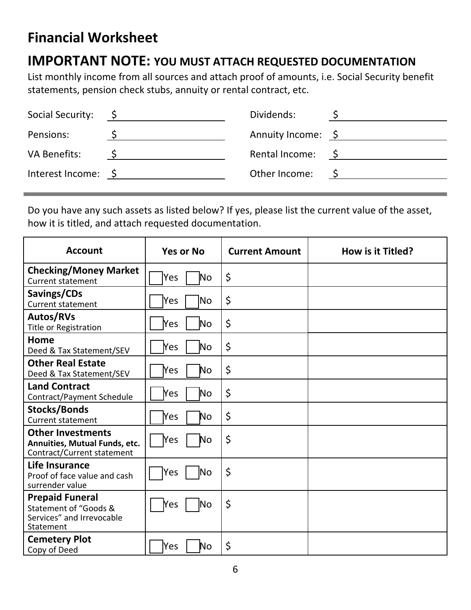### **Financial Worksheet**

#### **IMPORTANT NOTE: YOU MUST ATTACH REQUESTED DOCUMENTATION**

List monthly income from all sources and attach proof of amounts, i.e. Social Security benefit statements, pension check stubs, annuity or rental contract, etc.

| Social Security:         | $\mathsf{S}$ | Dividends:         |     |
|--------------------------|--------------|--------------------|-----|
| Pensions:                |              | Annuity Income: \$ |     |
| VA Benefits:             |              | Rental Income:     | S S |
| Interest Income: $\oint$ |              | Other Income:      |     |
|                          |              |                    |     |

Do you have any such assets as listed below? If yes, please list the current value of the asset, how it is titled, and attach requested documentation.

| <b>Account</b>                                                                            | <b>Yes or No</b>           | <b>Current Amount</b> | How is it Titled? |
|-------------------------------------------------------------------------------------------|----------------------------|-----------------------|-------------------|
| <b>Checking/Money Market</b><br><b>Current statement</b>                                  | Yes<br>N <sub>o</sub>      | \$                    |                   |
| Savings/CDs<br><b>Current statement</b>                                                   | Yes<br>No.                 | \$                    |                   |
| Autos/RVs<br>Title or Registration                                                        | Yes<br>No                  | \$                    |                   |
| Home<br>Deed & Tax Statement/SEV                                                          | .<br>Yes<br>N <sub>o</sub> | \$                    |                   |
| <b>Other Real Estate</b><br>Deed & Tax Statement/SEV                                      | No<br>Yes                  | \$                    |                   |
| <b>Land Contract</b><br>Contract/Payment Schedule                                         | Yes<br>No                  | \$                    |                   |
| <b>Stocks/Bonds</b><br><b>Current statement</b>                                           | Yes<br>No.                 | \$                    |                   |
| <b>Other Investments</b><br>Annuities, Mutual Funds, etc.<br>Contract/Current statement   | <b>Yes</b><br>No.          | \$                    |                   |
| Life Insurance<br>Proof of face value and cash<br>surrender value                         | lNo<br>Yes                 | \$                    |                   |
| <b>Prepaid Funeral</b><br>Statement of "Goods &<br>Services" and Irrevocable<br>Statement | No<br>Yes                  | \$                    |                   |
| <b>Cemetery Plot</b><br>Copy of Deed                                                      | Yes<br>No                  | \$                    |                   |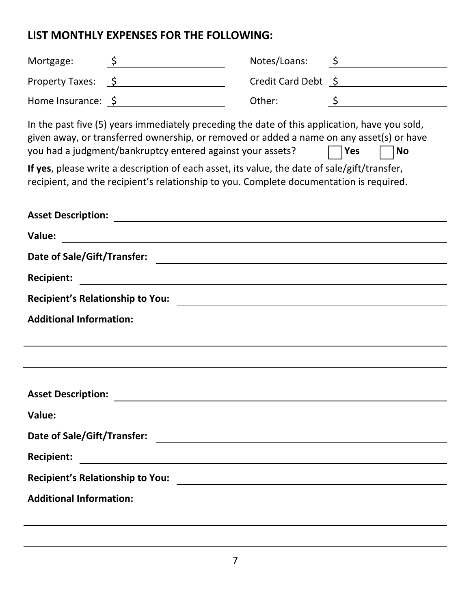#### **LIST MONTHLY EXPENSES FOR THE FOLLOWING:**

| Mortgage:<br><u> 1980 - Johann Barnett, fransk politik (</u>                                                                                                                                                                                                                                                                                                                                                                                                           | Notes/Loans: | $\ddot{\zeta}$      |  |
|------------------------------------------------------------------------------------------------------------------------------------------------------------------------------------------------------------------------------------------------------------------------------------------------------------------------------------------------------------------------------------------------------------------------------------------------------------------------|--------------|---------------------|--|
| Property Taxes: \$                                                                                                                                                                                                                                                                                                                                                                                                                                                     |              | Credit Card Debt \$ |  |
| Home Insurance: $\oint$                                                                                                                                                                                                                                                                                                                                                                                                                                                | Other:       |                     |  |
| In the past five (5) years immediately preceding the date of this application, have you sold,<br>given away, or transferred ownership, or removed or added a name on any asset(s) or have<br>you had a judgment/bankruptcy entered against your assets?<br>Yes<br><b>No</b><br>If yes, please write a description of each asset, its value, the date of sale/gift/transfer,<br>recipient, and the recipient's relationship to you. Complete documentation is required. |              |                     |  |
| <b>Asset Description:</b>                                                                                                                                                                                                                                                                                                                                                                                                                                              |              |                     |  |
| Value:<br><u> 1980 - Andrea Andrew Maria (h. 1980).</u>                                                                                                                                                                                                                                                                                                                                                                                                                |              |                     |  |
| Date of Sale/Gift/Transfer:                                                                                                                                                                                                                                                                                                                                                                                                                                            |              |                     |  |
| <b>Recipient:</b>                                                                                                                                                                                                                                                                                                                                                                                                                                                      |              |                     |  |
| <b>Recipient's Relationship to You:</b>                                                                                                                                                                                                                                                                                                                                                                                                                                |              |                     |  |
| <b>Additional Information:</b>                                                                                                                                                                                                                                                                                                                                                                                                                                         |              |                     |  |
|                                                                                                                                                                                                                                                                                                                                                                                                                                                                        |              |                     |  |
| <b>Asset Description:</b><br><u> 1989 - Johann John Stein, markin sanadi a shekara 1989 - An an tsarani a shekara 1989 - An an tsarani a sheka</u><br>Value:                                                                                                                                                                                                                                                                                                           |              |                     |  |
| Date of Sale/Gift/Transfer:<br><u> 1980 - Johann John Stein, markin fizik eta idazlea (</u>                                                                                                                                                                                                                                                                                                                                                                            |              |                     |  |
| <b>Recipient:</b>                                                                                                                                                                                                                                                                                                                                                                                                                                                      |              |                     |  |
| <b>Recipient's Relationship to You:</b><br><u> 1989 - John Stein, Amerikaansk politiker (</u>                                                                                                                                                                                                                                                                                                                                                                          |              |                     |  |
| <b>Additional Information:</b>                                                                                                                                                                                                                                                                                                                                                                                                                                         |              |                     |  |